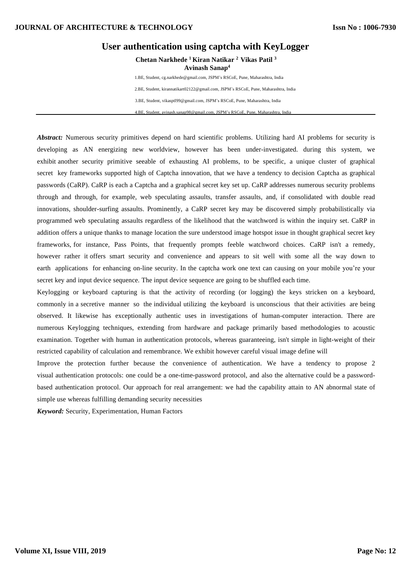# **User authentication using captcha with KeyLogger**

**Chetan Narkhede <sup>1</sup> Kiran Natikar <sup>2</sup>Vikas Patil <sup>3</sup> Avinash Sanap<sup>4</sup>**

1.BE, Student, cg.narkhede@gmail.com, JSPM's RSCoE, Pune, Maharashtra, India 2.BE, Student, kirannatikart02122@gmail.com, JSPM's RSCoE, Pune, Maharashtra, India 3.BE, Student, vikasptl99@gmail.com, JSPM's RSCoE, Pune, Maharashtra, India 4.BE, Student, avinash.sanap98@gmail.com, JSPM's RSCoE, Pune, Maharashtra, India

*Abstract:* Numerous security primitives depend on hard scientific problems. Utilizing hard AI problems for security is developing as AN energizing new worldview, however has been under-investigated. during this system, we exhibit another security primitive seeable of exhausting AI problems, to be specific, a unique cluster of graphical secret key frameworks supported high of Captcha innovation, that we have a tendency to decision Captcha as graphical passwords (CaRP). CaRP is each a Captcha and a graphical secret key set up. CaRP addresses numerous security problems through and through, for example, web speculating assaults, transfer assaults, and, if consolidated with double read innovations, shoulder-surfing assaults. Prominently, a CaRP secret key may be discovered simply probabilistically via programmed web speculating assaults regardless of the likelihood that the watchword is within the inquiry set. CaRP in addition offers a unique thanks to manage location the sure understood image hotspot issue in thought graphical secret key frameworks, for instance, Pass Points, that frequently prompts feeble watchword choices. CaRP isn't a remedy, however rather it offers smart security and convenience and appears to sit well with some all the way down to earth applications for enhancing on-line security. In the captcha work one text can causing on your mobile you're your secret key and input device sequence. The input device sequence are going to be shuffled each time.

Keylogging or keyboard capturing is that the activity of recording (or logging) the keys stricken on a keyboard, commonly in a secretive manner so the individual utilizing the keyboard is unconscious that their activities are being observed. It likewise has exceptionally authentic uses in investigations of human-computer interaction. There are numerous Keylogging techniques, extending from hardware and package primarily based methodologies to acoustic examination. Together with human in authentication protocols, whereas guaranteeing, isn't simple in light-weight of their restricted capability of calculation and remembrance. We exhibit however careful visual image define will

Improve the protection further because the convenience of authentication. We have a tendency to propose 2 visual authentication protocols: one could be a one-time-password protocol, and also the alternative could be a passwordbased authentication protocol. Our approach for real arrangement: we had the capability attain to AN abnormal state of simple use whereas fulfilling demanding security necessities

*Keyword:* Security, Experimentation, Human Factors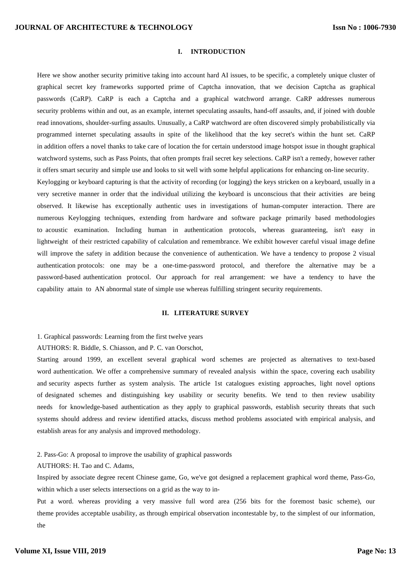# **I. INTRODUCTION**

Here we show another security primitive taking into account hard AI issues, to be specific, a completely unique cluster of graphical secret key frameworks supported prime of Captcha innovation, that we decision Captcha as graphical passwords (CaRP). CaRP is each a Captcha and a graphical watchword arrange. CaRP addresses numerous security problems within and out, as an example, internet speculating assaults, hand-off assaults, and, if joined with double read innovations, shoulder-surfing assaults. Unusually, a CaRP watchword are often discovered simply probabilistically via programmed internet speculating assaults in spite of the likelihood that the key secret's within the hunt set. CaRP in addition offers a novel thanks to take care of location the for certain understood image hotspot issue in thought graphical watchword systems, such as Pass Points, that often prompts frail secret key selections. CaRP isn't a remedy, however rather it offers smart security and simple use and looks to sit well with some helpful applications for enhancing on-line security.

Keylogging or keyboard capturing is that the activity of recording (or logging) the keys stricken on a keyboard, usually in a very secretive manner in order that the individual utilizing the keyboard is unconscious that their activities are being observed. It likewise has exceptionally authentic uses in investigations of human-computer interaction. There are numerous Keylogging techniques, extending from hardware and software package primarily based methodologies to acoustic examination. Including human in authentication protocols, whereas guaranteeing, isn't easy in lightweight of their restricted capability of calculation and remembrance. We exhibit however careful visual image define will improve the safety in addition because the convenience of authentication. We have a tendency to propose 2 visual authentication protocols: one may be a one-time-password protocol, and therefore the alternative may be a password-based authentication protocol. Our approach for real arrangement: we have a tendency to have the capability attain to AN abnormal state of simple use whereas fulfilling stringent security requirements.

## **II. LITERATURE SURVEY**

1. Graphical passwords: Learning from the first twelve years

AUTHORS: R. Biddle, S. Chiasson, and P. C. van Oorschot,

Starting around 1999, an excellent several graphical word schemes are projected as alternatives to text-based word authentication. We offer a comprehensive summary of revealed analysis within the space, covering each usability and security aspects further as system analysis. The article 1st catalogues existing approaches, light novel options of designated schemes and distinguishing key usability or security benefits. We tend to then review usability needs for knowledge-based authentication as they apply to graphical passwords, establish security threats that such systems should address and review identified attacks, discuss method problems associated with empirical analysis, and establish areas for any analysis and improved methodology.

2. Pass-Go: A proposal to improve the usability of graphical passwords

AUTHORS: H. Tao and C. Adams,

Inspired by associate degree recent Chinese game, Go, we've got designed a replacement graphical word theme, Pass-Go, within which a user selects intersections on a grid as the way to in-

Put a word. whereas providing a very massive full word area (256 bits for the foremost basic scheme), our theme provides acceptable usability, as through empirical observation incontestable by, to the simplest of our information, the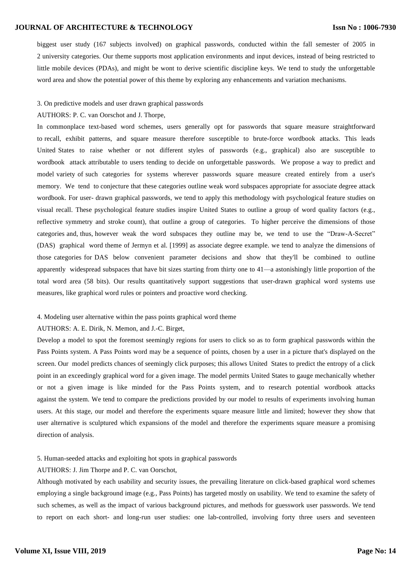# **JOURNAL OF ARCHITECTURE & TECHNOLOGY**

biggest user study (167 subjects involved) on graphical passwords, conducted within the fall semester of 2005 in 2 university categories. Our theme supports most application environments and input devices, instead of being restricted to little mobile devices (PDAs), and might be wont to derive scientific discipline keys. We tend to study the unforgettable word area and show the potential power of this theme by exploring any enhancements and variation mechanisms.

#### 3. On predictive models and user drawn graphical passwords

#### AUTHORS: P. C. van Oorschot and J. Thorpe,

In commonplace text-based word schemes, users generally opt for passwords that square measure straightforward to recall, exhibit patterns, and square measure therefore susceptible to brute-force wordbook attacks. This leads United States to raise whether or not different styles of passwords (e.g., graphical) also are susceptible to wordbook attack attributable to users tending to decide on unforgettable passwords. We propose a way to predict and model variety of such categories for systems wherever passwords square measure created entirely from a user's memory. We tend to conjecture that these categories outline weak word subspaces appropriate for associate degree attack wordbook. For user- drawn graphical passwords, we tend to apply this methodology with psychological feature studies on visual recall. These psychological feature studies inspire United States to outline a group of word quality factors (e.g., reflective symmetry and stroke count), that outline a group of categories. To higher perceive the dimensions of those categories and, thus, however weak the word subspaces they outline may be, we tend to use the "Draw-A-Secret" (DAS) graphical word theme of Jermyn et al. [1999] as associate degree example. we tend to analyze the dimensions of those categories for DAS below convenient parameter decisions and show that they'll be combined to outline apparently widespread subspaces that have bit sizes starting from thirty one to 41—a astonishingly little proportion of the total word area (58 bits). Our results quantitatively support suggestions that user-drawn graphical word systems use measures, like graphical word rules or pointers and proactive word checking.

#### 4. Modeling user alternative within the pass points graphical word theme

## AUTHORS: A. E. Dirik, N. Memon, and J.-C. Birget,

Develop a model to spot the foremost seemingly regions for users to click so as to form graphical passwords within the Pass Points system. A Pass Points word may be a sequence of points, chosen by a user in a picture that's displayed on the screen. Our model predicts chances of seemingly click purposes; this allows United States to predict the entropy of a click point in an exceedingly graphical word for a given image. The model permits United States to gauge mechanically whether or not a given image is like minded for the Pass Points system, and to research potential wordbook attacks against the system. We tend to compare the predictions provided by our model to results of experiments involving human users. At this stage, our model and therefore the experiments square measure little and limited; however they show that user alternative is sculptured which expansions of the model and therefore the experiments square measure a promising direction of analysis.

## 5. Human-seeded attacks and exploiting hot spots in graphical passwords

#### AUTHORS: J. Jim Thorpe and P. C. van Oorschot,

Although motivated by each usability and security issues, the prevailing literature on click-based graphical word schemes employing a single background image (e.g., Pass Points) has targeted mostly on usability. We tend to examine the safety of such schemes, as well as the impact of various background pictures, and methods for guesswork user passwords. We tend to report on each short- and long-run user studies: one lab-controlled, involving forty three users and seventeen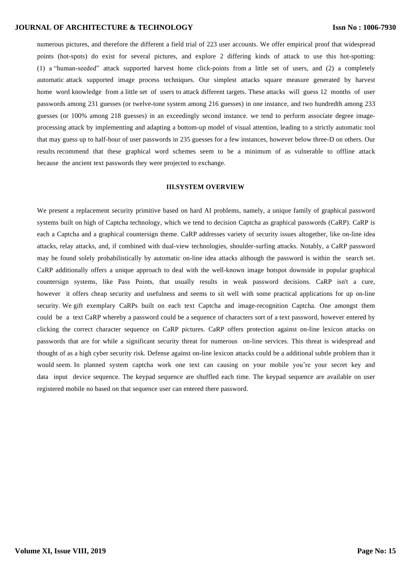## **JOURNAL OF ARCHITECTURE & TECHNOLOGY**

numerous pictures, and therefore the different a field trial of 223 user accounts. We offer empirical proof that widespread points (hot-spots) do exist for several pictures, and explore 2 differing kinds of attack to use this hot-spotting: (1) a "human-seeded" attack supported harvest home click-points from a little set of users, and (2) a completely automatic attack supported image process techniques. Our simplest attacks square measure generated by harvest home word knowledge from a little set of users to attack different targets. These attacks will guess 12 months of user passwords among 231 guesses (or twelve-tone system among 216 guesses) in one instance, and two hundredth among 233 guesses (or 100% among 218 guesses) in an exceedingly second instance. we tend to perform associate degree imageprocessing attack by implementing and adapting a bottom-up model of visual attention, leading to a strictly automatic tool that may guess up to half-hour of user passwords in 235 guesses for a few instances, however below three-D on others. Our results recommend that these graphical word schemes seem to be a minimum of as vulnerable to offline attack because the ancient text passwords they were projected to exchange.

## **III.SYSTEM OVERVIEW**

We present a replacement security primitive based on hard AI problems, namely, a unique family of graphical password systems built on high of Captcha technology, which we tend to decision Captcha as graphical passwords (CaRP). CaRP is each a Captcha and a graphical countersign theme. CaRP addresses variety of security issues altogether, like on-line idea attacks, relay attacks, and, if combined with dual-view technologies, shoulder-surfing attacks. Notably, a CaRP password may be found solely probabilistically by automatic on-line idea attacks although the password is within the search set. CaRP additionally offers a unique approach to deal with the well-known image hotspot downside in popular graphical countersign systems, like Pass Points, that usually results in weak password decisions. CaRP isn't a cure, however it offers cheap security and usefulness and seems to sit well with some practical applications for up on-line security. We gift exemplary CaRPs built on each text Captcha and image-recognition Captcha. One amongst them could be a text CaRP whereby a password could be a sequence of characters sort of a text password, however entered by clicking the correct character sequence on CaRP pictures. CaRP offers protection against on-line lexicon attacks on passwords that are for while a significant security threat for numerous on-line services. This threat is widespread and thought of as a high cyber security risk. Defense against on-line lexicon attacks could be a additional subtle problem than it would seem. In planned system captcha work one text can causing on your mobile you're your secret key and data input device sequence. The keypad sequence are shuffled each time. The keypad sequence are available on user registered mobile no based on that sequence user can entered there password.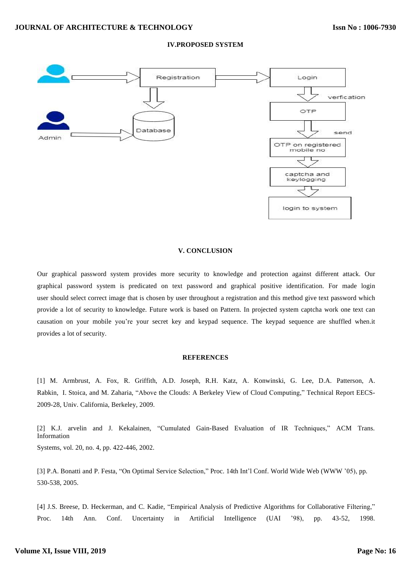

## **IV.PROPOSED SYSTEM**

#### **V. CONCLUSION**

Our graphical password system provides more security to knowledge and protection against different attack. Our graphical password system is predicated on text password and graphical positive identification. For made login user should select correct image that is chosen by user throughout a registration and this method give text password which provide a lot of security to knowledge. Future work is based on Pattern. In projected system captcha work one text can causation on your mobile you're your secret key and keypad sequence. The keypad sequence are shuffled when.it provides a lot of security.

#### **REFERENCES**

[1] M. Armbrust, A. Fox, R. Griffith, A.D. Joseph, R.H. Katz, A. Konwinski, G. Lee, D.A. Patterson, A. Rabkin, I. Stoica, and M. Zaharia, "Above the Clouds: A Berkeley View of Cloud Computing," Technical Report EECS-2009-28, Univ. California, Berkeley, 2009.

[2] K.J. arvelin and J. Kekalainen, "Cumulated Gain-Based Evaluation of IR Techniques," ACM Trans. Information Systems, vol. 20, no. 4, pp. 422-446, 2002.

[3] P.A. Bonatti and P. Festa, "On Optimal Service Selection," Proc. 14th Int'l Conf. World Wide Web (WWW '05), pp. 530-538, 2005.

[4] J.S. Breese, D. Heckerman, and C. Kadie, "Empirical Analysis of Predictive Algorithms for Collaborative Filtering," Proc. 14th Ann. Conf. Uncertainty in Artificial Intelligence (UAI '98), pp. 43-52, 1998.